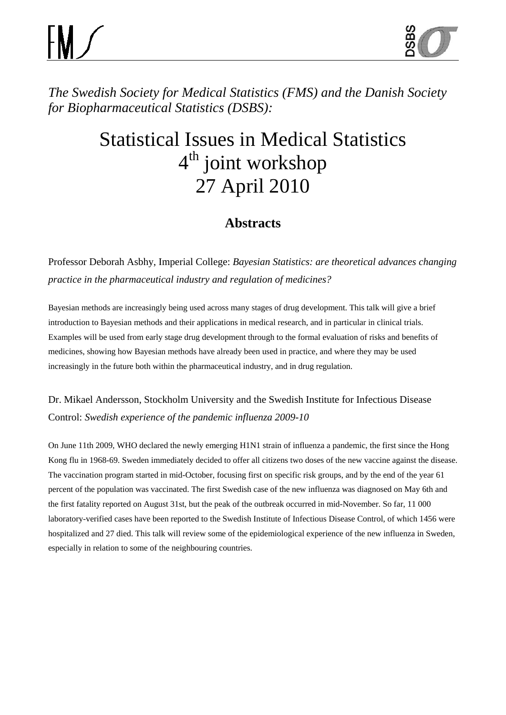

*The Swedish Society for Medical Statistics (FMS) and the Danish Society for Biopharmaceutical Statistics (DSBS):*

# Statistical Issues in Medical Statistics 4<sup>th</sup> joint workshop 27 April 2010

# **Abstracts**

Professor Deborah Asbhy, Imperial College: *Bayesian Statistics: are theoretical advances changing practice in the pharmaceutical industry and regulation of medicines?*

Bayesian methods are increasingly being used across many stages of drug development. This talk will give a brief introduction to Bayesian methods and their applications in medical research, and in particular in clinical trials. Examples will be used from early stage drug development through to the formal evaluation of risks and benefits of medicines, showing how Bayesian methods have already been used in practice, and where they may be used increasingly in the future both within the pharmaceutical industry, and in drug regulation.

# Dr. Mikael Andersson, Stockholm University and the Swedish Institute for Infectious Disease Control: *Swedish experience of the pandemic influenza 2009-10*

On June 11th 2009, WHO declared the newly emerging H1N1 strain of influenza a pandemic, the first since the Hong Kong flu in 1968-69. Sweden immediately decided to offer all citizens two doses of the new vaccine against the disease. The vaccination program started in mid-October, focusing first on specific risk groups, and by the end of the year 61 percent of the population was vaccinated. The first Swedish case of the new influenza was diagnosed on May 6th and the first fatality reported on August 31st, but the peak of the outbreak occurred in mid-November. So far, 11 000 laboratory-verified cases have been reported to the Swedish Institute of Infectious Disease Control, of which 1456 were hospitalized and 27 died. This talk will review some of the epidemiological experience of the new influenza in Sweden, especially in relation to some of the neighbouring countries.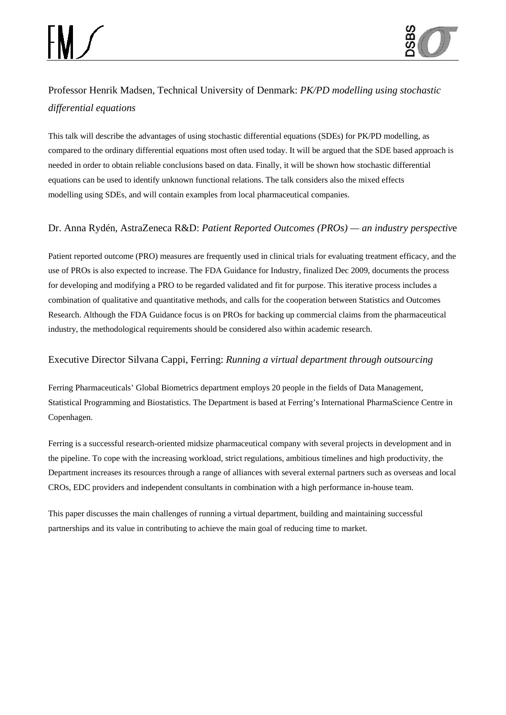

# Professor Henrik Madsen, Technical University of Denmark: *PK/PD modelling using stochastic differential equations*

This talk will describe the advantages of using stochastic differential equations (SDEs) for PK/PD modelling, as compared to the ordinary differential equations most often used today. It will be argued that the SDE based approach is needed in order to obtain reliable conclusions based on data. Finally, it will be shown how stochastic differential equations can be used to identify unknown functional relations. The talk considers also the mixed effects modelling using SDEs, and will contain examples from local pharmaceutical companies.

#### Dr. Anna Rydén, AstraZeneca R&D: *Patient Reported Outcomes (PROs) — an industry perspectiv*e

Patient reported outcome (PRO) measures are frequently used in clinical trials for evaluating treatment efficacy, and the use of PROs is also expected to increase. The FDA Guidance for Industry, finalized Dec 2009, documents the process for developing and modifying a PRO to be regarded validated and fit for purpose. This iterative process includes a combination of qualitative and quantitative methods, and calls for the cooperation between Statistics and Outcomes Research. Although the FDA Guidance focus is on PROs for backing up commercial claims from the pharmaceutical industry, the methodological requirements should be considered also within academic research.

#### Executive Director Silvana Cappi, Ferring: *Running a virtual department through outsourcing*

Ferring Pharmaceuticals' Global Biometrics department employs 20 people in the fields of Data Management, Statistical Programming and Biostatistics. The Department is based at Ferring's International PharmaScience Centre in Copenhagen.

Ferring is a successful research-oriented midsize pharmaceutical company with several projects in development and in the pipeline. To cope with the increasing workload, strict regulations, ambitious timelines and high productivity, the Department increases its resources through a range of alliances with several external partners such as overseas and local CROs, EDC providers and independent consultants in combination with a high performance in-house team.

This paper discusses the main challenges of running a virtual department, building and maintaining successful partnerships and its value in contributing to achieve the main goal of reducing time to market.